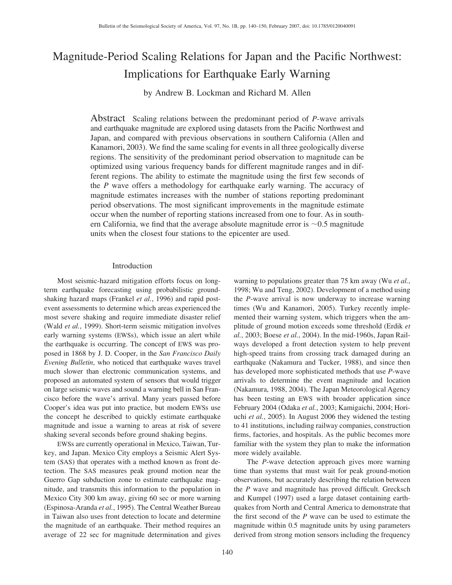# Magnitude-Period Scaling Relations for Japan and the Pacific Northwest: Implications for Earthquake Early Warning

by Andrew B. Lockman and Richard M. Allen

Abstract Scaling relations between the predominant period of *P*-wave arrivals and earthquake magnitude are explored using datasets from the Pacific Northwest and Japan, and compared with previous observations in southern California (Allen and Kanamori, 2003). We find the same scaling for events in all three geologically diverse regions. The sensitivity of the predominant period observation to magnitude can be optimized using various frequency bands for different magnitude ranges and in different regions. The ability to estimate the magnitude using the first few seconds of the *P* wave offers a methodology for earthquake early warning. The accuracy of magnitude estimates increases with the number of stations reporting predominant period observations. The most significant improvements in the magnitude estimate occur when the number of reporting stations increased from one to four. As in southern California, we find that the average absolute magnitude error is  $\sim 0.5$  magnitude units when the closest four stations to the epicenter are used.

# Introduction

Most seismic-hazard mitigation efforts focus on longterm earthquake forecasting using probabilistic groundshaking hazard maps (Frankel *et al.*, 1996) and rapid postevent assessments to determine which areas experienced the most severe shaking and require immediate disaster relief (Wald *et al.*, 1999). Short-term seismic mitigation involves early warning systems (EWSs), which issue an alert while the earthquake is occurring. The concept of EWS was proposed in 1868 by J. D. Cooper, in the *San Francisco Daily Evening Bulletin*, who noticed that earthquake waves travel much slower than electronic communication systems, and proposed an automated system of sensors that would trigger on large seismic waves and sound a warning bell in San Francisco before the wave's arrival. Many years passed before Cooper's idea was put into practice, but modern EWSs use the concept he described to quickly estimate earthquake magnitude and issue a warning to areas at risk of severe shaking several seconds before ground shaking begins.

EWSs are currently operational in Mexico, Taiwan, Turkey, and Japan. Mexico City employs a Seismic Alert System (SAS) that operates with a method known as front detection. The SAS measures peak ground motion near the Guerro Gap subduction zone to estimate earthquake magnitude, and transmits this information to the population in Mexico City 300 km away, giving 60 sec or more warning (Espinosa-Aranda *et al.*, 1995). The Central Weather Bureau in Taiwan also uses front detection to locate and determine the magnitude of an earthquake. Their method requires an average of 22 sec for magnitude determination and gives warning to populations greater than 75 km away (Wu *et al.*, 1998; Wu and Teng, 2002). Development of a method using the *P*-wave arrival is now underway to increase warning times (Wu and Kanamori, 2005). Turkey recently implemented their warning system, which triggers when the amplitude of ground motion exceeds some threshold (Erdik *et al.*, 2003; Boese *et al.*, 2004). In the mid-1960s, Japan Railways developed a front detection system to help prevent high-speed trains from crossing track damaged during an earthquake (Nakamura and Tucker, 1988), and since then has developed more sophisticated methods that use *P*-wave arrivals to determine the event magnitude and location (Nakamura, 1988, 2004). The Japan Meteorological Agency has been testing an EWS with broader application since February 2004 (Odaka *et al.*, 2003; Kamigaichi, 2004; Horiuchi *et al.*, 2005). In August 2006 they widened the testing to 41 institutions, including railway companies, construction firms, factories, and hospitals. As the public becomes more familiar with the system they plan to make the information more widely available.

The *P*-wave detection approach gives more warning time than systems that must wait for peak ground-motion observations, but accurately describing the relation between the *P* wave and magnitude has proved difficult. Grecksch and Kumpel (1997) used a large dataset containing earthquakes from North and Central America to demonstrate that the first second of the *P* wave can be used to estimate the magnitude within 0.5 magnitude units by using parameters derived from strong motion sensors including the frequency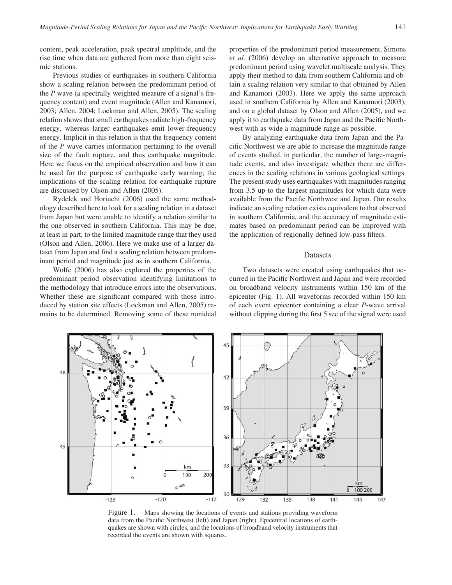content, peak acceleration, peak spectral amplitude, and the rise time when data are gathered from more than eight seismic stations.

Previous studies of earthquakes in southern California show a scaling relation between the predominant period of the *P* wave (a spectrally weighted measure of a signal's frequency content) and event magnitude (Allen and Kanamori, 2003; Allen, 2004; Lockman and Allen, 2005). The scaling relation shows that small earthquakes radiate high-frequency energy, whereas larger earthquakes emit lower-frequency energy. Implicit in this relation is that the frequency content of the *P* wave carries information pertaining to the overall size of the fault rupture, and thus earthquake magnitude. Here we focus on the empirical observation and how it can be used for the purpose of earthquake early warning; the implications of the scaling relation for earthquake rupture are discussed by Olson and Allen (2005).

Rydelek and Horiuchi (2006) used the same methodology described here to look for a scaling relation in a dataset from Japan but were unable to identify a relation similar to the one observed in southern California. This may be due, at least in part, to the limited magnitude range that they used (Olson and Allen, 2006). Here we make use of a larger dataset from Japan and find a scaling relation between predominant period and magnitude just as in southern California.

Wolfe (2006) has also explored the properties of the predominant period observation identifying limitations to the methodology that introduce errors into the observations. Whether these are significant compared with those introduced by station site effects (Lockman and Allen, 2005) remains to be determined. Removing some of these nonideal properties of the predominant period measurement, Simons *et al.* (2006) develop an alternative approach to measure predominant period using wavelet multiscale analysis. They apply their method to data from southern California and obtain a scaling relation very similar to that obtained by Allen and Kanamori (2003). Here we apply the same approach used in southern California by Allen and Kanamori (2003), and on a global dataset by Olson and Allen (2005), and we apply it to earthquake data from Japan and the Pacific Northwest with as wide a magnitude range as possible.

By analyzing earthquake data from Japan and the Pacific Northwest we are able to increase the magnitude range of events studied, in particular, the number of large-magnitude events, and also investigate whether there are differences in the scaling relations in various geological settings. The present study uses earthquakes with magnitudes ranging from 3.5 up to the largest magnitudes for which data were available from the Pacific Northwest and Japan. Our results indicate an scaling relation exists equivalent to that observed in southern California, and the accuracy of magnitude estimates based on predominant period can be improved with the application of regionally defined low-pass filters.

#### Datasets

Two datasets were created using earthquakes that occurred in the Pacific Northwest and Japan and were recorded on broadband velocity instruments within 150 km of the epicenter (Fig. 1). All waveforms recorded within 150 km of each event epicenter containing a clear *P*-wave arrival without clipping during the first 5 sec of the signal were used



Figure 1. Maps showing the locations of events and stations providing waveform data from the Pacific Northwest (left) and Japan (right). Epicentral locations of earthquakes are shown with circles, and the locations of broadband velocity instruments that recorded the events are shown with squares.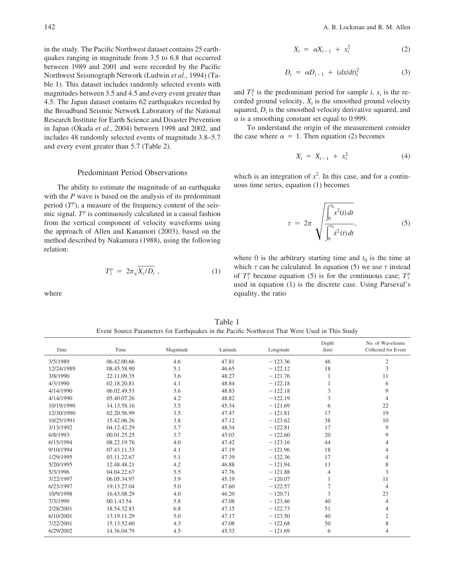in the study. The Pacific Northwest dataset contains 25 earthquakes ranging in magnitude from 3.5 to 6.8 that occurred between 1989 and 2001 and were recorded by the Pacific Northwest Seismograph Network (Ludwin *et al.*, 1994) (Table 1). This dataset includes randomly selected events with magnitudes between 3.5 and 4.5 and every event greater than 4.5. The Japan dataset contains 62 earthquakes recorded by the Broadband Seismic Network Laboratory of the National Research Institute for Earth Science and Disaster Prevention in Japan (Okada *et al.*, 2004) between 1998 and 2002, and includes 48 randomly selected events of magnitude 3.8–5.7 and every event greater than 5.7 (Table 2).

## Predominant Period Observations

The ability to estimate the magnitude of an earthquake with the *P* wave is based on the analysis of its predominant period  $(T^p)$ , a measure of the frequency content of the seismic signal. *T<sup>p</sup>* is continuously calculated in a causal fashion from the vertical component of velocity waveforms using the approach of Allen and Kanamori (2003), based on the method described by Nakamura (1988), using the following relation:

$$
T_i^p = 2\pi \sqrt{X_i/D_i} \tag{1}
$$

where

$$
X_i = \alpha X_{i-1} + x_i^2 \tag{2}
$$

$$
D_i = \alpha D_{i-1} + (dx/dt)_i^2 \tag{3}
$$

and  $T_i^p$  is the predominant period for sample *i*,  $x_i$  is the recorded ground velocity,  $X_i$  is the smoothed ground velocity squared,  $D_i$  is the smoothed velocity derivative squared, and  $\alpha$  is a smoothing constant set equal to 0.999.

To understand the origin of the measurement consider the case where  $\alpha = 1$ . Then equation (2) becomes

$$
X_i = X_{i-1} + x_i^2 \tag{4}
$$

which is an integration of  $x^2$ . In this case, and for a continuous time series, equation (1) becomes

$$
\tau = 2\pi \sqrt{\frac{\int_0^{t_0} x^2(t) dt}{\int_0^{t_0} x^2(t) dt}},
$$
\n(5)

where 0 is the arbitrary starting time and  $t_0$  is the time at which  $\tau$  can be calculated. In equation (5) we use  $\tau$  instead of  $T_i^p$  because equation (5) is for the continuous case;  $T_i^p$ used in equation (1) is the discrete case. Using Parseval's equality, the ratio

| Date       | Time        | Magnitude | Latitude | Longitude | Depth<br>(km) | No. of Waveforms<br>Collected for Event |
|------------|-------------|-----------|----------|-----------|---------------|-----------------------------------------|
| 3/5/1989   | 06.42.00.66 | 4.6       | 47.81    | $-123.36$ | 46            | $\mathfrak{2}$                          |
| 12/24/1989 | 08.45.58.90 | 5.1       | 46.65    | $-122.12$ | 18            | 3                                       |
| 3/8/1990   | 22.11.09.35 | 3.6       | 48.27    | $-121.76$ |               | 11                                      |
| 4/3/1990   | 02.18.20.81 | 4.1       | 48.84    | $-122.18$ |               | 6                                       |
| 4/14/1990  | 06.02.49.53 | 3.6       | 48.83    | $-122.18$ | 3             | 9                                       |
| 4/14/1990  | 05.40.07.26 | 4.2       | 48.82    | $-122.19$ | 3             | $\overline{4}$                          |
| 10/19/1990 | 14.13.58.16 | 3.5       | 45.34    | $-121.69$ | 6             | 22                                      |
| 12/30/1990 | 02.20.56.99 | 3.5       | 47.47    | $-121.81$ | 17            | 19                                      |
| 10/25/1991 | 15.42.06.26 | 3.8       | 47.12    | $-123.62$ | 38            | 10                                      |
| 3/13/1992  | 04.12.42.29 | 3.7       | 48.34    | $-122.81$ | 17            | 9                                       |
| 6/8/1993   | 00.01.25.25 | 3.7       | 45.03    | $-122.60$ | 20            | 9                                       |
| 6/15/1994  | 08.22.19.76 | 4.0       | 47.42    | $-123.16$ | 44            | 4                                       |
| 9/10/1994  | 07.43.11.33 | 4.1       | 47.19    | $-121.96$ | 18            | $\overline{4}$                          |
| 1/29/1995  | 03.11.22.67 | 5.1       | 47.39    | $-122.36$ | 17            | $\overline{4}$                          |
| 5/20/1995  | 12.48.48.21 | 4.2       | 46.88    | $-121.94$ | 13            | 8                                       |
| 5/3/1996   | 04.04.22.67 | 5.5       | 47.76    | $-121.88$ | 4             | 3                                       |
| 3/22/1997  | 06.05.34.97 | 3.9       | 45.19    | $-120.07$ |               | 11                                      |
| 6/23/1997  | 19.13.27.04 | 5.0       | 47.60    | $-122.57$ | 7             | $\overline{4}$                          |
| 10/9/1998  | 16.43.08.29 | 4.0       | 46.20    | $-120.71$ | 3             | 23                                      |
| 7/3/1999   | 00.1.43.54  | 5.8       | 47.08    | $-123.46$ | 40            | $\overline{4}$                          |
| 2/28/2001  | 18.54.32.83 | 6.8       | 47.15    | $-122.73$ | 51            | 4                                       |
| 6/10/2001  | 13.19.11.29 | 5.0       | 47.17    | $-123.50$ | 40            | $\mathfrak{2}$                          |
| 7/22/2001  | 15.13.52.60 | 4.3       | 47.08    | $-122.68$ | 50            | 8                                       |
| 6/29/2002  | 14.36.04.79 | 4.5       | 45.33    | $-121.69$ | 6             | $\overline{4}$                          |

Table 1 Event Source Parameters for Earthquakes in the Pacific Northwest That Were Used in This Study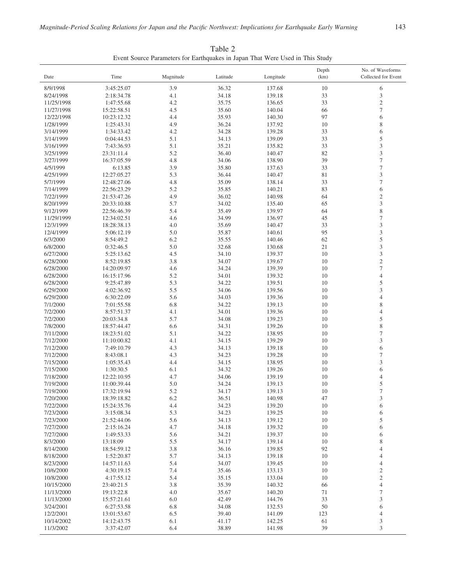|            |             |           |          |           | Depth | No. of Waveforms            |
|------------|-------------|-----------|----------|-----------|-------|-----------------------------|
| Date       | Time        | Magnitude | Latitude | Longitude | (km)  | Collected for Event         |
| 8/9/1998   | 3:45:25.07  | 3.9       | 36.32    | 137.68    | 10    | 6                           |
| 8/24/1998  | 2:18:34.78  | 4.1       | 34.18    | 139.18    | 33    | $\ensuremath{\mathfrak{Z}}$ |
| 11/25/1998 | 1:47:55.68  | 4.2       | 35.75    | 136.65    | 33    | $\sqrt{2}$                  |
| 11/27/1998 | 15:22:58.51 | 4.5       | 35.60    | 140.04    | 66    | $\tau$                      |
| 12/22/1998 | 10:23:12.32 | 4.4       | 35.93    | 140.30    | 97    | 6                           |
| 1/28/1999  | 1:25:43.31  | 4.9       | 36.24    | 137.92    | 10    | $\,$ 8 $\,$                 |
| 3/14/1999  | 1:34:33.42  | 4.2       | 34.28    | 139.28    | 33    | 6                           |
| 3/14/1999  | 0:04:44.53  | 5.1       | 34.13    | 139.09    | 33    | 5                           |
| 3/16/1999  | 7:43:36.93  | 5.1       | 35.21    | 135.82    | 33    | $\mathfrak{Z}$              |
| 3/25/1999  | 23:31:11.4  | 5.2       | 36.40    | 140.47    | 82    | $\mathfrak z$               |
| 3/27/1999  | 16:37:05.59 | 4.8       | 34.06    | 138.90    | 39    | $\overline{\mathcal{I}}$    |
| 4/5/1999   | 6:13.85     | 3.9       | 35.80    | 137.63    | 33    | $\boldsymbol{7}$            |
| 4/25/1999  | 12:27:05.27 | 5.3       | 36.44    | 140.47    | 81    | $\mathfrak z$               |
| 5/7/1999   | 12:48:27.06 | 4.8       | 35.09    | 138.14    | 33    | $\boldsymbol{7}$            |
| 7/14/1999  | 22:56:23.29 | 5.2       | 35.85    | 140.21    | 83    | 6                           |
| 7/22/1999  | 21:53:47.26 | 4.9       | 36.02    | 140.98    | 64    | $\overline{c}$              |
| 8/20/1999  | 20:33:10.88 | 5.7       | 34.02    | 135.40    | 65    | $\mathfrak{Z}$              |
| 9/12/1999  | 22:56:46.39 | 5.4       | 35.49    | 139.97    | 64    | $\,$ 8 $\,$                 |
| 11/29/1999 | 12:34:02.51 | 4.6       | 34.99    | 136.97    | 45    | $\tau$                      |
| 12/3/1999  | 18:28:38.13 | 4.0       | 35.69    | 140.47    | 33    | $\mathfrak{Z}$              |
| 12/4/1999  | 5:06:12.19  | 5.0       | 35.87    | 140.61    | 95    | $\mathfrak{Z}$              |
| 6/3/2000   | 8:54:49.2   | 6.2       | 35.55    | 140.46    | 62    | 5                           |
| 6/8/2000   | 0:32:46.5   | 5.0       | 32.68    | 130.68    | 21    | $\mathfrak{Z}$              |
| 6/27/2000  | 5:25:13.62  | 4.5       | 34.10    | 139.37    | 10    | $\mathfrak z$               |
| 6/28/2000  | 8:52:19.85  | 3.8       | 34.07    | 139.67    | 10    | $\sqrt{2}$                  |
| 6/28/2000  | 14:20:09.97 | 4.6       | 34.24    | 139.39    | 10    | $\tau$                      |
| 6/28/2000  | 16:15:17.96 | 5.2       | 34.01    | 139.32    | 10    | $\overline{4}$              |
| 6/28/2000  | 9:25:47.89  | 5.3       | 34.22    | 139.51    | 10    | 5                           |
| 6/29/2000  | 4:02:36.92  | 5.5       | 34.06    | 139.56    | 10    | 3                           |
| 6/29/2000  | 6:30:22.09  | 5.6       | 34.03    | 139.36    | 10    | $\overline{4}$              |
| 7/1/2000   | 7:01:55.58  | 6.8       | 34.22    | 139.13    | 10    | $\,$ 8 $\,$                 |
| 7/2/2000   | 8:57:51.37  | 4.1       | 34.01    | 139.36    | 10    | $\overline{4}$              |
| 7/2/2000   | 20:03:34.8  | 5.7       | 34.08    | 139.23    | 10    | 5                           |
| 7/8/2000   | 18:57:44.47 | 6.6       | 34.31    | 139.26    | 10    | $\,$ 8 $\,$                 |
| 7/11/2000  | 18:23:51.02 | 5.1       | 34.22    | 138.95    | 10    | $\tau$                      |
| 7/12/2000  | 11:10:00.82 | 4.1       | 34.15    | 139.29    | 10    | 3                           |
| 7/12/2000  | 7:49:10.79  | 4.3       | 34.13    | 139.18    | 10    | 6                           |
| 7/12/2000  | 8:43:08.1   | 4.3       | 34.23    | 139.28    | 10    | $\boldsymbol{7}$            |
| 7/15/2000  | 1:05:35.43  | 4.4       | 34.15    | 138.95    | 10    | $\mathfrak{Z}$              |
| 7/15/2000  | 1:30:30.5   | 6.1       | 34.32    | 139.26    | 10    | 6                           |
| 7/18/2000  | 12:22:10.95 | 4.7       | 34.06    | 139.19    | 10    | $\overline{4}$              |
| 7/19/2000  | 11:00:39.44 | 5.0       | 34.24    | 139.13    | 10    | 5                           |
| 7/19/2000  | 17:32:19.94 | 5.2       | 34.17    | 139.13    | 10    | $\tau$                      |
| 7/20/2000  | 18:39:18.82 | 6.2       | 36.51    | 140.98    | 47    | $\mathfrak{Z}$              |
| 7/22/2000  | 15:24:35.76 | 4.4       | 34.23    | 139.20    | 10    | 6                           |
| 7/23/2000  | 3:15:08.34  | 5.3       | 34.23    | 139.25    | $10$  | 6                           |
| 7/23/2000  | 21:52:44.06 | 5.6       | 34.13    | 139.12    | 10    | 5                           |
| 7/27/2000  | 2:15:16.24  | 4.7       | 34.18    | 139.32    | 10    | 6                           |
| 7/27/2000  | 1:49:53.33  | 5.6       | 34.21    | 139.37    | $10$  | 6                           |
| 8/3/2000   | 13:18:09    | 5.5       | 34.17    | 139.14    | 10    | $\,$ 8 $\,$                 |
| 8/14/2000  | 18:54:59.12 | $3.8\,$   | 36.16    | 139.85    | 92    | $\overline{4}$              |
| 8/18/2000  | 1:52:20.87  | 5.7       | 34.13    | 139.18    | 10    | $\overline{4}$              |
| 8/23/2000  | 14:57:11.63 | 5.4       | 34.07    | 139.45    | 10    | $\overline{4}$              |
| 10/6/2000  | 4:30:19.15  | 7.4       | 35.46    | 133.13    | $10$  | $\sqrt{2}$                  |
| 10/8/2000  | 4:17:55.12  | 5.4       | 35.15    | 133.04    | 10    | $\sqrt{2}$                  |
| 10/15/2000 | 23:40:21.5  | $3.8\,$   | 35.39    | 140.32    | 66    | $\overline{4}$              |
| 11/13/2000 | 19:13:22.8  | 4.0       | 35.67    | 140.20    | 71    | $\overline{7}$              |
| 11/13/2000 | 15:57:21.61 | 6.0       | 42.49    | 144.76    | 33    | $\mathfrak{Z}$              |
| 3/24/2001  | 6:27:53.58  | 6.8       | 34.08    | 132.53    | 50    | 6                           |
| 12/2/2001  | 13:01:53.67 | 6.5       | 39.40    | 141.09    | 123   | $\overline{4}$              |
| 10/14/2002 | 14:12:43.75 | 6.1       | 41.17    | 142.25    | 61    | 3                           |
| 11/3/2002  | 3:37:42.07  | 6.4       | 38.89    | 141.98    | 39    | 3                           |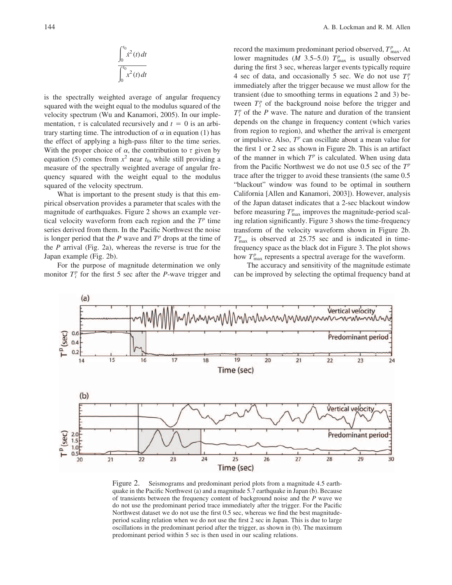$$
\int_0^{t_0} \dot{x}^2(t) dt
$$
  

$$
\int_0^{t_0} \dot{x}^2(t) dt
$$

is the spectrally weighted average of angular frequency squared with the weight equal to the modulus squared of the velocity spectrum (Wu and Kanamori, 2005). In our implementation,  $\tau$  is calculated recursively and  $t = 0$  is an arbitrary starting time. The introduction of  $\alpha$  in equation (1) has the effect of applying a high-pass filter to the time series. With the proper choice of  $\alpha$ , the contribution to  $\tau$  given by equation (5) comes from  $x^2$  near  $t_0$ , while still providing a measure of the spectrally weighted average of angular frequency squared with the weight equal to the modulus squared of the velocity spectrum.

What is important to the present study is that this empirical observation provides a parameter that scales with the magnitude of earthquakes. Figure 2 shows an example vertical velocity waveform from each region and the  $T<sup>p</sup>$  time series derived from them. In the Pacific Northwest the noise is longer period that the  $P$  wave and  $T^p$  drops at the time of the *P* arrival (Fig. 2a), whereas the reverse is true for the Japan example (Fig. 2b).

For the purpose of magnitude determination we only monitor  $T_i^p$  for the first 5 sec after the *P*-wave trigger and record the maximum predominant period observed,  $T_{\text{max}}^p$ . At lower magnitudes (*M* 3.5–5.0)  $T_{\text{max}}^p$  is usually observed during the first 3 sec, whereas larger events typically require 4 sec of data, and occasionally 5 sec. We do not use  $T_i^p$ immediately after the trigger because we must allow for the transient (due to smoothing terms in equations 2 and 3) between  $T_i^p$  of the background noise before the trigger and  $T_i^p$  of the *P* wave. The nature and duration of the transient depends on the change in frequency content (which varies from region to region), and whether the arrival is emergent or impulsive. Also, *T<sup>p</sup>* can oscillate about a mean value for the first 1 or 2 sec as shown in Figure 2b. This is an artifact of the manner in which  $T^p$  is calculated. When using data from the Pacific Northwest we do not use 0.5 sec of the *T<sup>p</sup>* trace after the trigger to avoid these transients (the same 0.5 "blackout" window was found to be optimal in southern California [Allen and Kanamori, 2003]). However, analysis of the Japan dataset indicates that a 2-sec blackout window before measuring  $T_{\text{max}}^p$  improves the magnitude-period scaling relation significantly. Figure 3 shows the time-frequency transform of the velocity waveform shown in Figure 2b.  $T<sup>p</sup><sub>max</sub>$  is observed at 25.75 sec and is indicated in timefrequency space as the black dot in Figure 3. The plot shows how  $T_{\text{max}}^p$  represents a spectral average for the waveform.

The accuracy and sensitivity of the magnitude estimate can be improved by selecting the optimal frequency band at



Figure 2. Seismograms and predominant period plots from a magnitude 4.5 earthquake in the Pacific Northwest (a) and a magnitude 5.7 earthquake in Japan (b). Because of transients between the frequency content of background noise and the *P* wave we do not use the predominant period trace immediately after the trigger. For the Pacific Northwest dataset we do not use the first 0.5 sec, whereas we find the best magnitudeperiod scaling relation when we do not use the first 2 sec in Japan. This is due to large oscillations in the predominant period after the trigger, as shown in (b). The maximum predominant period within 5 sec is then used in our scaling relations.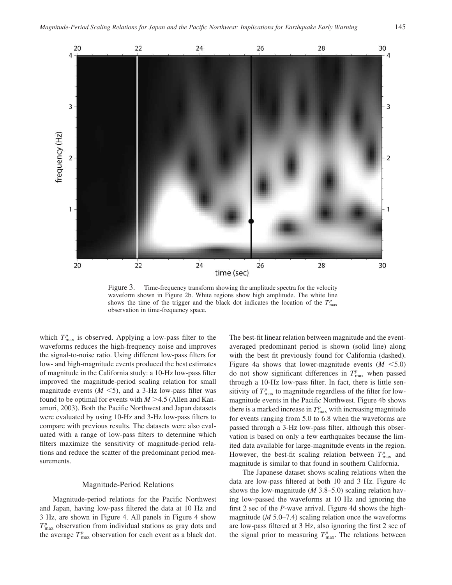

Figure 3. Time-frequency transform showing the amplitude spectra for the velocity waveform shown in Figure 2b. White regions show high amplitude. The white line shows the time of the trigger and the black dot indicates the location of the  $T_{\text{max}}^p$ observation in time-frequency space.

which  $T_{\text{max}}^p$  is observed. Applying a low-pass filter to the waveforms reduces the high-frequency noise and improves the signal-to-noise ratio. Using different low-pass filters for low- and high-magnitude events produced the best estimates of magnitude in the California study: a 10-Hz low-pass filter improved the magnitude-period scaling relation for small magnitude events  $(M \le 5)$ , and a 3-Hz low-pass filter was found to be optimal for events with  $M > 4.5$  (Allen and Kanamori, 2003). Both the Pacific Northwest and Japan datasets were evaluated by using 10-Hz and 3-Hz low-pass filters to compare with previous results. The datasets were also evaluated with a range of low-pass filters to determine which filters maximize the sensitivity of magnitude-period relations and reduce the scatter of the predominant period measurements.

## Magnitude-Period Relations

Magnitude-period relations for the Pacific Northwest and Japan, having low-pass filtered the data at 10 Hz and 3 Hz, are shown in Figure 4. All panels in Figure 4 show  $T_{\text{max}}^p$  observation from individual stations as gray dots and the average  $T_{\text{max}}^p$  observation for each event as a black dot.

The best-fit linear relation between magnitude and the eventaveraged predominant period is shown (solid line) along with the best fit previously found for California (dashed). Figure 4a shows that lower-magnitude events  $(M \leq 5.0)$ do not show significant differences in  $T_{\text{max}}^p$  when passed through a 10-Hz low-pass filter. In fact, there is little sensitivity of  $T_{\text{max}}^p$  to magnitude regardless of the filter for lowmagnitude events in the Pacific Northwest. Figure 4b shows there is a marked increase in  $T_{\text{max}}^p$  with increasing magnitude for events ranging from 5.0 to 6.8 when the waveforms are passed through a 3-Hz low-pass filter, although this observation is based on only a few earthquakes because the limited data available for large-magnitude events in the region. However, the best-fit scaling relation between  $T_{\text{max}}^p$  and magnitude is similar to that found in southern California.

The Japanese dataset shows scaling relations when the data are low-pass filtered at both 10 and 3 Hz. Figure 4c shows the low-magnitude (*M* 3.8–5.0) scaling relation having low-passed the waveforms at 10 Hz and ignoring the first 2 sec of the *P*-wave arrival. Figure 4d shows the highmagnitude (*M* 5.0–7.4) scaling relation once the waveforms are low-pass filtered at 3 Hz, also ignoring the first 2 sec of the signal prior to measuring  $T_{\text{max}}^p$ . The relations between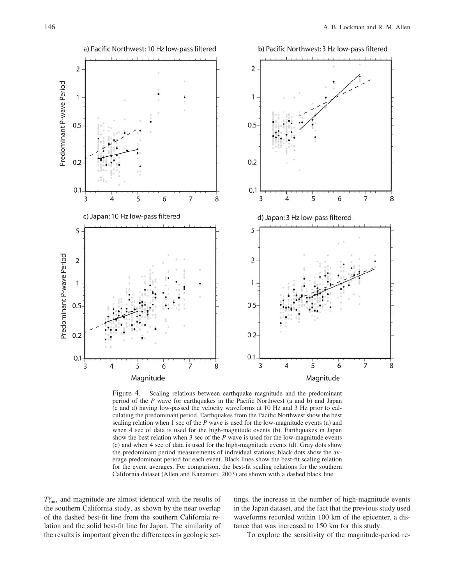

Figure 4. Scaling relations between earthquake magnitude and the predominant period of the *P* wave for earthquakes in the Pacific Northwest (a and b) and Japan (c and d) having low-passed the velocity waveforms at 10 Hz and 3 Hz prior to calculating the predominant period. Earthquakes from the Pacific Northwest show the best scaling relation when 1 sec of the *P* wave is used for the low-magnitude events (a) and when 4 sec of data is used for the high-magnitude events (b). Earthquakes in Japan show the best relation when 3 sec of the *P* wave is used for the low-magnitude events (c) and when 4 sec of data is used for the high-magnitude events (d). Gray dots show the predominant period measurements of individual stations; black dots show the average predominant period for each event. Black lines show the best-fit scaling relation for the event averages. For comparison, the best-fit scaling relations for the southern California dataset (Allen and Kanamori, 2003) are shown with a dashed black line.

 $T_{\text{max}}^p$  and magnitude are almost identical with the results of the southern California study, as shown by the near overlap of the dashed best-fit line from the southern California relation and the solid best-fit line for Japan. The similarity of the results is important given the differences in geologic settings, the increase in the number of high-magnitude events in the Japan dataset, and the fact that the previous study used waveforms recorded within 100 km of the epicenter, a distance that was increased to 150 km for this study.

To explore the sensitivity of the magnitude-period re-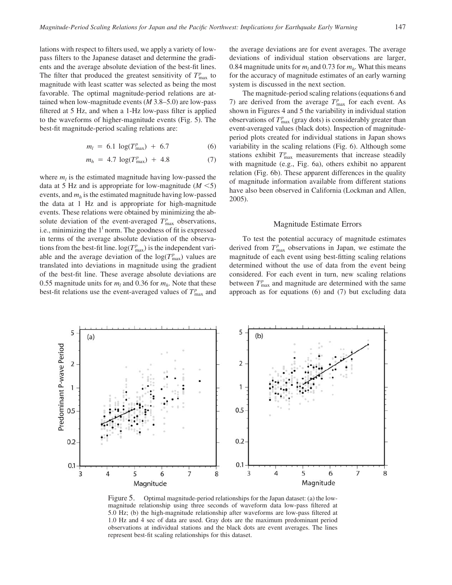lations with respect to filters used, we apply a variety of lowpass filters to the Japanese dataset and determine the gradients and the average absolute deviation of the best-fit lines. The filter that produced the greatest sensitivity of  $T_{\text{max}}^p$  to magnitude with least scatter was selected as being the most favorable. The optimal magnitude-period relations are attained when low-magnitude events (*M* 3.8–5.0) are low-pass filtered at 5 Hz, and when a 1-Hz low-pass filter is applied to the waveforms of higher-magnitude events (Fig. 5). The best-fit magnitude-period scaling relations are:

$$
m_l = 6.1 \log(T_{\text{max}}^p) + 6.7 \tag{6}
$$

$$
m_h = 4.7 \log(T_{\text{max}}^p) + 4.8 \tag{7}
$$

where  $m_l$  is the estimated magnitude having low-passed the data at 5 Hz and is appropriate for low-magnitude  $(M \le 5)$ events, and *mh* is the estimated magnitude having low-passed the data at 1 Hz and is appropriate for high-magnitude events. These relations were obtained by minimizing the absolute deviation of the event-averaged  $T_{\text{max}}^p$  observations, i.e., minimizing the  $1<sup>1</sup>$  norm. The goodness of fit is expressed in terms of the average absolute deviation of the observations from the best-fit line.  $log(T_{\text{max}}^p)$  is the independent variable and the average deviation of the  $log(T_{\text{max}}^p)$  values are translated into deviations in magnitude using the gradient of the best-fit line. These average absolute deviations are 0.55 magnitude units for  $m_l$  and 0.36 for  $m_h$ . Note that these best-fit relations use the event-averaged values of  $T_{\text{max}}^p$  and

the average deviations are for event averages. The average deviations of individual station observations are larger, 0.84 magnitude units for  $m_l$  and 0.73 for  $m_h$ . What this means for the accuracy of magnitude estimates of an early warning system is discussed in the next section.

The magnitude-period scaling relations (equations 6 and 7) are derived from the average  $T_{\text{max}}^p$  for each event. As shown in Figures 4 and 5 the variability in individual station observations of  $T_{\text{max}}^p$  (gray dots) is considerably greater than event-averaged values (black dots). Inspection of magnitudeperiod plots created for individual stations in Japan shows variability in the scaling relations (Fig. 6). Although some stations exhibit  $T_{\text{max}}^p$  measurements that increase steadily with magnitude (e.g., Fig. 6a), others exhibit no apparent relation (Fig. 6b). These apparent differences in the quality of magnitude information available from different stations have also been observed in California (Lockman and Allen, 2005).

#### Magnitude Estimate Errors

To test the potential accuracy of magnitude estimates derived from  $T_{\text{max}}^p$  observations in Japan, we estimate the magnitude of each event using best-fitting scaling relations determined without the use of data from the event being considered. For each event in turn, new scaling relations between  $T_{\text{max}}^p$  and magnitude are determined with the same approach as for equations (6) and (7) but excluding data



Figure 5. Optimal magnitude-period relationships for the Japan dataset: (a) the lowmagnitude relationship using three seconds of waveform data low-pass filtered at 5.0 Hz; (b) the high-magnitude relationship after waveforms are low-pass filtered at 1.0 Hz and 4 sec of data are used. Gray dots are the maximum predominant period observations at individual stations and the black dots are event averages. The lines represent best-fit scaling relationships for this dataset.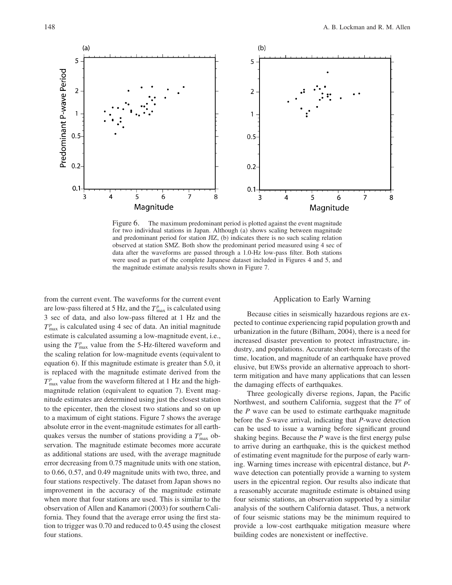

Figure 6. The maximum predominant period is plotted against the event magnitude for two individual stations in Japan. Although (a) shows scaling between magnitude and predominant period for station JIZ, (b) indicates there is no such scaling relation observed at station SMZ. Both show the predominant period measured using 4 sec of data after the waveforms are passed through a 1.0-Hz low-pass filter. Both stations were used as part of the complete Japanese dataset included in Figures 4 and 5, and the magnitude estimate analysis results shown in Figure 7.

from the current event. The waveforms for the current event are low-pass filtered at 5 Hz, and the  $T_{\text{max}}^p$  is calculated using 3 sec of data, and also low-pass filtered at 1 Hz and the  $T<sup>p</sup><sub>max</sub>$  is calculated using 4 sec of data. An initial magnitude estimate is calculated assuming a low-magnitude event, i.e., using the  $T_{\text{max}}^p$  value from the 5-Hz-filtered waveform and the scaling relation for low-magnitude events (equivalent to equation 6). If this magnitude estimate is greater than 5.0, it is replaced with the magnitude estimate derived from the  $T<sup>p</sup><sub>max</sub>$  value from the waveform filtered at 1 Hz and the highmagnitude relation (equivalent to equation 7). Event magnitude estimates are determined using just the closest station to the epicenter, then the closest two stations and so on up to a maximum of eight stations. Figure 7 shows the average absolute error in the event-magnitude estimates for all earthquakes versus the number of stations providing a  $T_{\text{max}}^p$  observation. The magnitude estimate becomes more accurate as additional stations are used, with the average magnitude error decreasing from 0.75 magnitude units with one station, to 0.66, 0.57, and 0.49 magnitude units with two, three, and four stations respectively. The dataset from Japan shows no improvement in the accuracy of the magnitude estimate when more that four stations are used. This is similar to the observation of Allen and Kanamori (2003) for southern California. They found that the average error using the first station to trigger was 0.70 and reduced to 0.45 using the closest four stations.

# Application to Early Warning

Because cities in seismically hazardous regions are expected to continue experiencing rapid population growth and urbanization in the future (Bilham, 2004), there is a need for increased disaster prevention to protect infrastructure, industry, and populations. Accurate short-term forecasts of the time, location, and magnitude of an earthquake have proved elusive, but EWSs provide an alternative approach to shortterm mitigation and have many applications that can lessen the damaging effects of earthquakes.

Three geologically diverse regions, Japan, the Pacific Northwest, and southern California, suggest that the *T<sup>p</sup>* of the *P* wave can be used to estimate earthquake magnitude before the *S*-wave arrival, indicating that *P*-wave detection can be used to issue a warning before significant ground shaking begins. Because the *P* wave is the first energy pulse to arrive during an earthquake, this is the quickest method of estimating event magnitude for the purpose of early warning. Warning times increase with epicentral distance, but *P*wave detection can potentially provide a warning to system users in the epicentral region. Our results also indicate that a reasonably accurate magnitude estimate is obtained using four seismic stations, an observation supported by a similar analysis of the southern California dataset. Thus, a network of four seismic stations may be the minimum required to provide a low-cost earthquake mitigation measure where building codes are nonexistent or ineffective.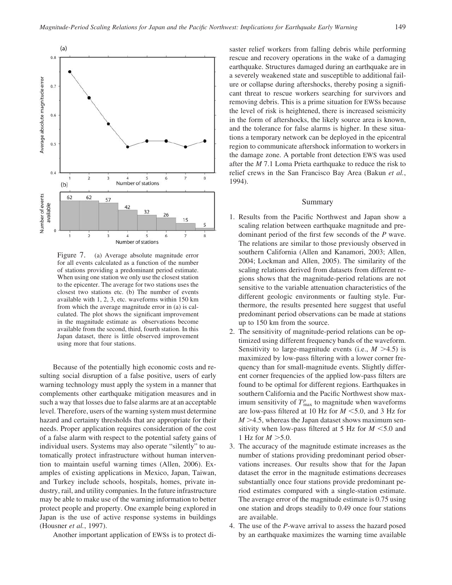

Figure 7. (a) Average absolute magnitude error for all events calculated as a function of the number of stations providing a predominant period estimate. When using one station we only use the closest station to the epicenter. The average for two stations uses the closest two stations etc. (b) The number of events available with 1, 2, 3, etc. waveforms within 150 km from which the average magnitude error in (a) is calculated. The plot shows the significant improvement in the magnitude estimate as observations become available from the second, third, fourth station. In this Japan dataset, there is little observed improvement using more that four stations.

Because of the potentially high economic costs and resulting social disruption of a false positive, users of early warning technology must apply the system in a manner that complements other earthquake mitigation measures and in such a way that losses due to false alarms are at an acceptable level. Therefore, users of the warning system must determine hazard and certainty thresholds that are appropriate for their needs. Proper application requires consideration of the cost of a false alarm with respect to the potential safety gains of individual users. Systems may also operate "silently" to automatically protect infrastructure without human intervention to maintain useful warning times (Allen, 2006). Examples of existing applications in Mexico, Japan, Taiwan, and Turkey include schools, hospitals, homes, private industry, rail, and utility companies. In the future infrastructure may be able to make use of the warning information to better protect people and property. One example being explored in Japan is the use of active response systems in buildings (Housner *et al.*, 1997).

Another important application of EWSs is to protect di-

saster relief workers from falling debris while performing rescue and recovery operations in the wake of a damaging earthquake. Structures damaged during an earthquake are in a severely weakened state and susceptible to additional failure or collapse during aftershocks, thereby posing a significant threat to rescue workers searching for survivors and removing debris. This is a prime situation for EWSs because the level of risk is heightened, there is increased seismicity in the form of aftershocks, the likely source area is known, and the tolerance for false alarms is higher. In these situations a temporary network can be deployed in the epicentral region to communicate aftershock information to workers in the damage zone. A portable front detection EWS was used after the *M* 7.1 Loma Prieta earthquake to reduce the risk to relief crews in the San Francisco Bay Area (Bakun *et al.*, 1994).

## Summary

- 1. Results from the Pacific Northwest and Japan show a scaling relation between earthquake magnitude and predominant period of the first few seconds of the *P* wave. The relations are similar to those previously observed in southern California (Allen and Kanamori, 2003; Allen, 2004; Lockman and Allen, 2005). The similarity of the scaling relations derived from datasets from different regions shows that the magnitude-period relations are not sensitive to the variable attenuation characteristics of the different geologic environments or faulting style. Furthermore, the results presented here suggest that useful predominant period observations can be made at stations up to 150 km from the source.
- 2. The sensitivity of magnitude-period relations can be optimized using different frequency bands of the waveform. Sensitivity to large-magnitude events (i.e.,  $M > 4.5$ ) is maximized by low-pass filtering with a lower corner frequency than for small-magnitude events. Slightly different corner frequencies of the applied low-pass filters are found to be optimal for different regions. Earthquakes in southern California and the Pacific Northwest show maximum sensitivity of  $T_{\text{max}}^p$  to magnitude when waveforms are low-pass filtered at 10 Hz for *M* -5.0, and 3 Hz for  $M > 4.5$ , whereas the Japan dataset shows maximum sensitivity when low-pass filtered at  $5$  Hz for  $M < 5.0$  and 1 Hz for  $M > 5.0$ .
- 3. The accuracy of the magnitude estimate increases as the number of stations providing predominant period observations increases. Our results show that for the Japan dataset the error in the magnitude estimations decreases substantially once four stations provide predominant period estimates compared with a single-station estimate. The average error of the magnitude estimate is 0.75 using one station and drops steadily to 0.49 once four stations are available.
- 4. The use of the *P*-wave arrival to assess the hazard posed by an earthquake maximizes the warning time available